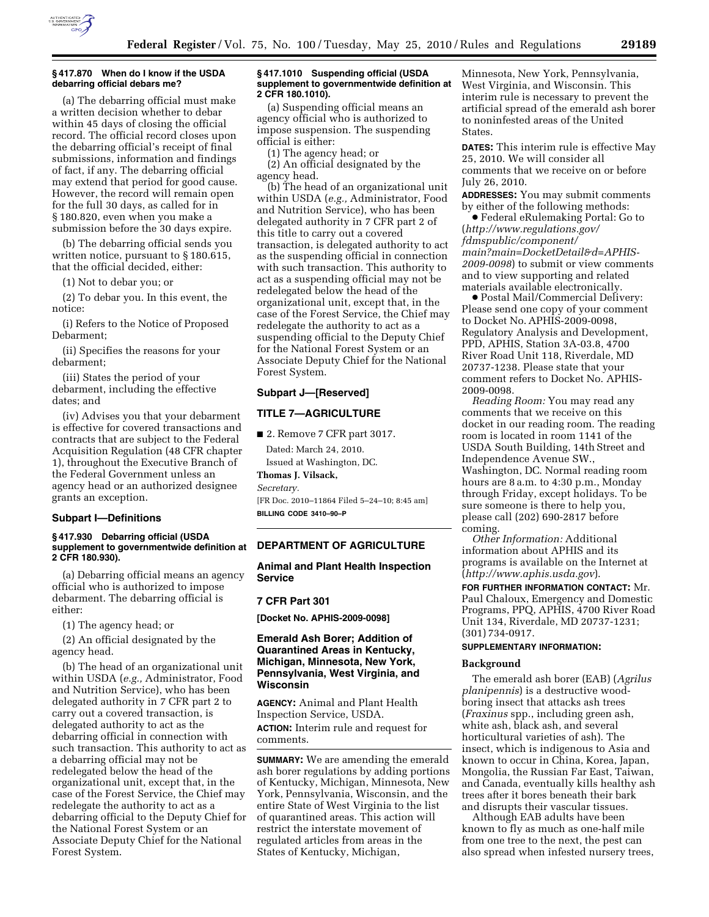

## **§ 417.870 When do I know if the USDA debarring official debars me?**

(a) The debarring official must make a written decision whether to debar within 45 days of closing the official record. The official record closes upon the debarring official's receipt of final submissions, information and findings of fact, if any. The debarring official may extend that period for good cause. However, the record will remain open for the full 30 days, as called for in § 180.820, even when you make a submission before the 30 days expire.

(b) The debarring official sends you written notice, pursuant to § 180.615, that the official decided, either:

(1) Not to debar you; or

(2) To debar you. In this event, the notice:

(i) Refers to the Notice of Proposed Debarment;

(ii) Specifies the reasons for your debarment;

(iii) States the period of your debarment, including the effective dates; and

(iv) Advises you that your debarment is effective for covered transactions and contracts that are subject to the Federal Acquisition Regulation (48 CFR chapter 1), throughout the Executive Branch of the Federal Government unless an agency head or an authorized designee grants an exception.

#### **Subpart I—Definitions**

#### **§ 417.930 Debarring official (USDA supplement to governmentwide definition at 2 CFR 180.930).**

(a) Debarring official means an agency official who is authorized to impose debarment. The debarring official is either:

(1) The agency head; or

(2) An official designated by the agency head.

(b) The head of an organizational unit within USDA (*e.g.,* Administrator, Food and Nutrition Service), who has been delegated authority in 7 CFR part 2 to carry out a covered transaction, is delegated authority to act as the debarring official in connection with such transaction. This authority to act as a debarring official may not be redelegated below the head of the organizational unit, except that, in the case of the Forest Service, the Chief may redelegate the authority to act as a debarring official to the Deputy Chief for the National Forest System or an Associate Deputy Chief for the National Forest System.

#### **§ 417.1010 Suspending official (USDA supplement to governmentwide definition at 2 CFR 180.1010).**

(a) Suspending official means an agency official who is authorized to impose suspension. The suspending official is either:

(1) The agency head; or

(2) An official designated by the agency head.

(b) The head of an organizational unit within USDA (*e.g.,* Administrator, Food and Nutrition Service), who has been delegated authority in 7 CFR part 2 of this title to carry out a covered transaction, is delegated authority to act as the suspending official in connection with such transaction. This authority to act as a suspending official may not be redelegated below the head of the organizational unit, except that, in the case of the Forest Service, the Chief may redelegate the authority to act as a suspending official to the Deputy Chief for the National Forest System or an Associate Deputy Chief for the National Forest System.

#### **Subpart J—[Reserved]**

# **TITLE 7—AGRICULTURE**

■ 2. Remove 7 CFR part 3017. Dated: March 24, 2010. Issued at Washington, DC. **Thomas J. Vilsack,**  *Secretary.*  [FR Doc. 2010–11864 Filed 5–24–10; 8:45 am] **BILLING CODE 3410–90–P** 

# **DEPARTMENT OF AGRICULTURE**

**Animal and Plant Health Inspection Service** 

#### **7 CFR Part 301**

**[Docket No. APHIS-2009-0098]** 

## **Emerald Ash Borer; Addition of Quarantined Areas in Kentucky, Michigan, Minnesota, New York, Pennsylvania, West Virginia, and Wisconsin**

**AGENCY:** Animal and Plant Health Inspection Service, USDA. **ACTION:** Interim rule and request for comments.

**SUMMARY:** We are amending the emerald ash borer regulations by adding portions of Kentucky, Michigan, Minnesota, New York, Pennsylvania, Wisconsin, and the entire State of West Virginia to the list of quarantined areas. This action will restrict the interstate movement of regulated articles from areas in the States of Kentucky, Michigan,

Minnesota, New York, Pennsylvania, West Virginia, and Wisconsin. This interim rule is necessary to prevent the artificial spread of the emerald ash borer to noninfested areas of the United States.

**DATES:** This interim rule is effective May 25, 2010. We will consider all comments that we receive on or before July 26, 2010.

**ADDRESSES:** You may submit comments by either of the following methods:

∑ Federal eRulemaking Portal: Go to (*http://www.regulations.gov/ fdmspublic/component/ main?main=DocketDetail&d=APHIS-2009-0098*) to submit or view comments and to view supporting and related materials available electronically.

∑ Postal Mail/Commercial Delivery: Please send one copy of your comment to Docket No. APHIS-2009-0098, Regulatory Analysis and Development, PPD, APHIS, Station 3A-03.8, 4700 River Road Unit 118, Riverdale, MD 20737-1238. Please state that your comment refers to Docket No. APHIS-2009-0098.

*Reading Room:* You may read any comments that we receive on this docket in our reading room. The reading room is located in room 1141 of the USDA South Building, 14th Street and Independence Avenue SW., Washington, DC. Normal reading room hours are 8 a.m. to 4:30 p.m., Monday through Friday, except holidays. To be sure someone is there to help you, please call (202) 690-2817 before coming.

*Other Information:* Additional information about APHIS and its programs is available on the Internet at (*http://www.aphis.usda.gov*).

**FOR FURTHER INFORMATION CONTACT:** Mr. Paul Chaloux, Emergency and Domestic Programs, PPQ, APHIS, 4700 River Road Unit 134, Riverdale, MD 20737-1231; (301) 734-0917.

## **SUPPLEMENTARY INFORMATION:**

#### **Background**

The emerald ash borer (EAB) (*Agrilus planipennis*) is a destructive woodboring insect that attacks ash trees (*Fraxinus* spp., including green ash, white ash, black ash, and several horticultural varieties of ash). The insect, which is indigenous to Asia and known to occur in China, Korea, Japan, Mongolia, the Russian Far East, Taiwan, and Canada, eventually kills healthy ash trees after it bores beneath their bark and disrupts their vascular tissues.

Although EAB adults have been known to fly as much as one-half mile from one tree to the next, the pest can also spread when infested nursery trees,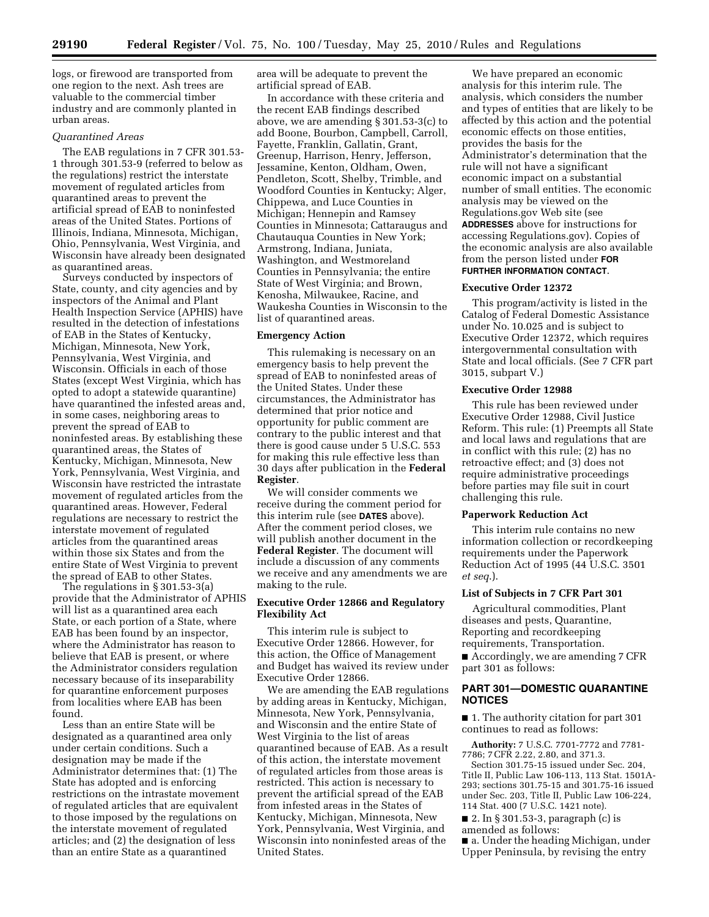logs, or firewood are transported from one region to the next. Ash trees are valuable to the commercial timber industry and are commonly planted in urban areas.

#### *Quarantined Areas*

The EAB regulations in 7 CFR 301.53- 1 through 301.53-9 (referred to below as the regulations) restrict the interstate movement of regulated articles from quarantined areas to prevent the artificial spread of EAB to noninfested areas of the United States. Portions of Illinois, Indiana, Minnesota, Michigan, Ohio, Pennsylvania, West Virginia, and Wisconsin have already been designated as quarantined areas.

Surveys conducted by inspectors of State, county, and city agencies and by inspectors of the Animal and Plant Health Inspection Service (APHIS) have resulted in the detection of infestations of EAB in the States of Kentucky, Michigan, Minnesota, New York, Pennsylvania, West Virginia, and Wisconsin. Officials in each of those States (except West Virginia, which has opted to adopt a statewide quarantine) have quarantined the infested areas and, in some cases, neighboring areas to prevent the spread of EAB to noninfested areas. By establishing these quarantined areas, the States of Kentucky, Michigan, Minnesota, New York, Pennsylvania, West Virginia, and Wisconsin have restricted the intrastate movement of regulated articles from the quarantined areas. However, Federal regulations are necessary to restrict the interstate movement of regulated articles from the quarantined areas within those six States and from the entire State of West Virginia to prevent the spread of EAB to other States.

The regulations in § 301.53-3(a) provide that the Administrator of APHIS will list as a quarantined area each State, or each portion of a State, where EAB has been found by an inspector, where the Administrator has reason to believe that EAB is present, or where the Administrator considers regulation necessary because of its inseparability for quarantine enforcement purposes from localities where EAB has been found.

Less than an entire State will be designated as a quarantined area only under certain conditions. Such a designation may be made if the Administrator determines that: (1) The State has adopted and is enforcing restrictions on the intrastate movement of regulated articles that are equivalent to those imposed by the regulations on the interstate movement of regulated articles; and (2) the designation of less than an entire State as a quarantined

area will be adequate to prevent the artificial spread of EAB.

In accordance with these criteria and the recent EAB findings described above, we are amending § 301.53-3(c) to add Boone, Bourbon, Campbell, Carroll, Fayette, Franklin, Gallatin, Grant, Greenup, Harrison, Henry, Jefferson, Jessamine, Kenton, Oldham, Owen, Pendleton, Scott, Shelby, Trimble, and Woodford Counties in Kentucky; Alger, Chippewa, and Luce Counties in Michigan; Hennepin and Ramsey Counties in Minnesota; Cattaraugus and Chautauqua Counties in New York; Armstrong, Indiana, Juniata, Washington, and Westmoreland Counties in Pennsylvania; the entire State of West Virginia; and Brown, Kenosha, Milwaukee, Racine, and Waukesha Counties in Wisconsin to the list of quarantined areas.

#### **Emergency Action**

This rulemaking is necessary on an emergency basis to help prevent the spread of EAB to noninfested areas of the United States. Under these circumstances, the Administrator has determined that prior notice and opportunity for public comment are contrary to the public interest and that there is good cause under 5 U.S.C. 553 for making this rule effective less than 30 days after publication in the **Federal Register**.

We will consider comments we receive during the comment period for this interim rule (see **DATES** above). After the comment period closes, we will publish another document in the **Federal Register**. The document will include a discussion of any comments we receive and any amendments we are making to the rule.

## **Executive Order 12866 and Regulatory Flexibility Act**

This interim rule is subject to Executive Order 12866. However, for this action, the Office of Management and Budget has waived its review under Executive Order 12866.

We are amending the EAB regulations by adding areas in Kentucky, Michigan, Minnesota, New York, Pennsylvania, and Wisconsin and the entire State of West Virginia to the list of areas quarantined because of EAB. As a result of this action, the interstate movement of regulated articles from those areas is restricted. This action is necessary to prevent the artificial spread of the EAB from infested areas in the States of Kentucky, Michigan, Minnesota, New York, Pennsylvania, West Virginia, and Wisconsin into noninfested areas of the United States.

We have prepared an economic analysis for this interim rule. The analysis, which considers the number and types of entities that are likely to be affected by this action and the potential economic effects on those entities, provides the basis for the Administrator's determination that the rule will not have a significant economic impact on a substantial number of small entities. The economic analysis may be viewed on the Regulations.gov Web site (see **ADDRESSES** above for instructions for accessing Regulations.gov). Copies of the economic analysis are also available from the person listed under **FOR FURTHER INFORMATION CONTACT**.

#### **Executive Order 12372**

This program/activity is listed in the Catalog of Federal Domestic Assistance under No. 10.025 and is subject to Executive Order 12372, which requires intergovernmental consultation with State and local officials. (See 7 CFR part 3015, subpart V.)

#### **Executive Order 12988**

This rule has been reviewed under Executive Order 12988, Civil Justice Reform. This rule: (1) Preempts all State and local laws and regulations that are in conflict with this rule; (2) has no retroactive effect; and (3) does not require administrative proceedings before parties may file suit in court challenging this rule.

#### **Paperwork Reduction Act**

This interim rule contains no new information collection or recordkeeping requirements under the Paperwork Reduction Act of 1995 (44 U.S.C. 3501 *et seq*.).

#### **List of Subjects in 7 CFR Part 301**

Agricultural commodities, Plant diseases and pests, Quarantine, Reporting and recordkeeping requirements, Transportation. ■ Accordingly, we are amending 7 CFR

part 301 as follows:

## **PART 301—DOMESTIC QUARANTINE NOTICES**

■ 1. The authority citation for part 301 continues to read as follows:

**Authority:** 7 U.S.C. 7701-7772 and 7781- 7786; 7 CFR 2.22, 2.80, and 371.3.

Section 301.75-15 issued under Sec. 204, Title II, Public Law 106-113, 113 Stat. 1501A-293; sections 301.75-15 and 301.75-16 issued under Sec. 203, Title II, Public Law 106-224, 114 Stat. 400 (7 U.S.C. 1421 note).

■ 2. In § 301.53-3, paragraph (c) is amended as follows:

■ a. Under the heading Michigan, under Upper Peninsula, by revising the entry